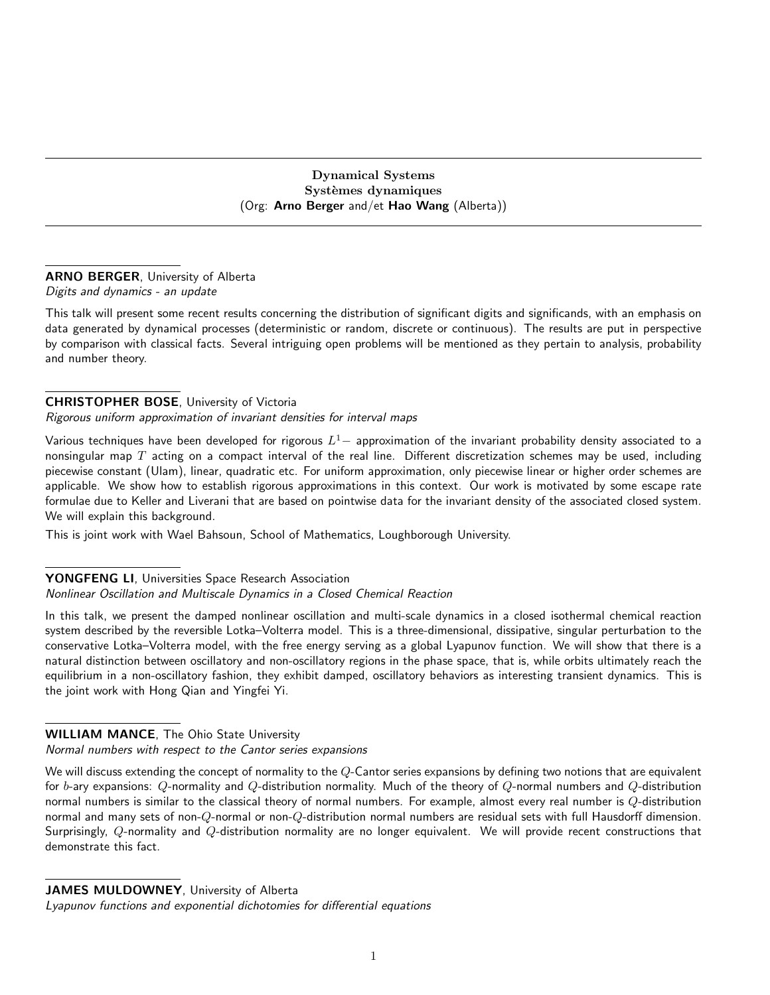Dynamical Systems Systèmes dynamiques (Org: Arno Berger and/et Hao Wang (Alberta))

# ARNO BERGER, University of Alberta

Digits and dynamics - an update

This talk will present some recent results concerning the distribution of significant digits and significands, with an emphasis on data generated by dynamical processes (deterministic or random, discrete or continuous). The results are put in perspective by comparison with classical facts. Several intriguing open problems will be mentioned as they pertain to analysis, probability and number theory.

### CHRISTOPHER BOSE, University of Victoria

Rigorous uniform approximation of invariant densities for interval maps

Various techniques have been developed for rigorous  $L^1-$  approximation of the invariant probability density associated to a nonsingular map  $T$  acting on a compact interval of the real line. Different discretization schemes may be used, including piecewise constant (Ulam), linear, quadratic etc. For uniform approximation, only piecewise linear or higher order schemes are applicable. We show how to establish rigorous approximations in this context. Our work is motivated by some escape rate formulae due to Keller and Liverani that are based on pointwise data for the invariant density of the associated closed system. We will explain this background.

This is joint work with Wael Bahsoun, School of Mathematics, Loughborough University.

#### YONGFENG LI, Universities Space Research Association Nonlinear Oscillation and Multiscale Dynamics in a Closed Chemical Reaction

In this talk, we present the damped nonlinear oscillation and multi-scale dynamics in a closed isothermal chemical reaction system described by the reversible Lotka–Volterra model. This is a three-dimensional, dissipative, singular perturbation to the conservative Lotka–Volterra model, with the free energy serving as a global Lyapunov function. We will show that there is a natural distinction between oscillatory and non-oscillatory regions in the phase space, that is, while orbits ultimately reach the equilibrium in a non-oscillatory fashion, they exhibit damped, oscillatory behaviors as interesting transient dynamics. This is the joint work with Hong Qian and Yingfei Yi.

### WILLIAM MANCE, The Ohio State University

Normal numbers with respect to the Cantor series expansions

We will discuss extending the concept of normality to the  $Q$ -Cantor series expansions by defining two notions that are equivalent for b-ary expansions:  $Q$ -normality and  $Q$ -distribution normality. Much of the theory of  $Q$ -normal numbers and  $Q$ -distribution normal numbers is similar to the classical theory of normal numbers. For example, almost every real number is  $Q$ -distribution normal and many sets of non-Q-normal or non-Q-distribution normal numbers are residual sets with full Hausdorff dimension. Surprisingly, Q-normality and Q-distribution normality are no longer equivalent. We will provide recent constructions that demonstrate this fact.

### JAMES MULDOWNEY, University of Alberta

Lyapunov functions and exponential dichotomies for differential equations